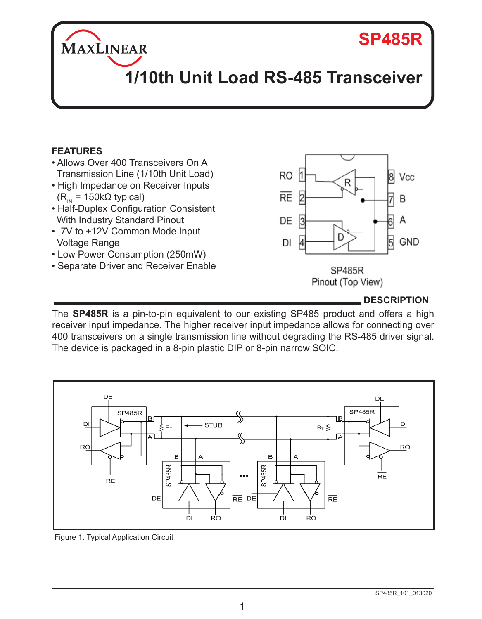# **SP485R**

# **1/10th Unit Load RS-485 Transceiver**

## **FEATURES**

MAXLINEAR

- Allows Over 400 Transceivers On A Transmission Line (1/10th Unit Load)
- High Impedance on Receiver Inputs  $(R<sub>IN</sub> = 150kΩ$  typical)
- Half-Duplex Configuration Consistent With Industry Standard Pinout
- -7V to +12V Common Mode Input Voltage Range
- Low Power Consumption (250mW)
- Separate Driver and Receiver Enable



Pinout (Top View)

**DESCRIPTION**

The **SP485R** is a pin-to-pin equivalent to our existing SP485 product and offers a high receiver input impedance. The higher receiver input impedance allows for connecting over 400 transceivers on a single transmission line without degrading the RS-485 driver signal. The device is packaged in a 8-pin plastic DIP or 8-pin narrow SOIC.



Figure 1. Typical Application Circuit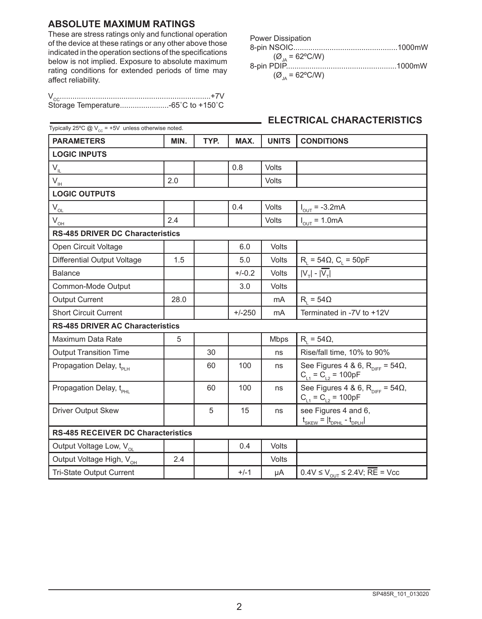#### **ABSOLUTE MAXIMUM RATINGS**

These are stress ratings only and functional operation of the device at these ratings or any other above those indicated in the operation sections of the specifications below is not implied. Exposure to absolute maximum rating conditions for extended periods of time may affect reliability.

| <b>Power Dissipation</b>            |  |
|-------------------------------------|--|
|                                     |  |
| $(\emptyset_{14} = 62^{\circ}$ C/W) |  |
|                                     |  |
| $(Q_{\text{A}} = 62^{\circ}$ C/W)   |  |

## **ELECTRICAL CHARACTERISTICS**

| Typically 25°C @ $V_{cc}$ = +5V unless otherwise noted. |      |      |          |              |                                                                                |
|---------------------------------------------------------|------|------|----------|--------------|--------------------------------------------------------------------------------|
| <b>PARAMETERS</b>                                       | MIN. | TYP. | MAX.     | <b>UNITS</b> | <b>CONDITIONS</b>                                                              |
| <b>LOGIC INPUTS</b>                                     |      |      |          |              |                                                                                |
| $V_{IL}$                                                |      |      | 0.8      | Volts        |                                                                                |
| $V_{\rm IH}$                                            | 2.0  |      |          | Volts        |                                                                                |
| <b>LOGIC OUTPUTS</b>                                    |      |      |          |              |                                                                                |
| $V_{\underline{\mathrm{OL}}}$                           |      |      | 0.4      | Volts        | $I_{\text{out}} = -3.2 \text{mA}$                                              |
| $V_{OH}$                                                | 24   |      |          | <b>Volts</b> | $I_{OUT} = 1.0mA$                                                              |
| <b>RS-485 DRIVER DC Characteristics</b>                 |      |      |          |              |                                                                                |
| Open Circuit Voltage                                    |      |      | 6.0      | Volts        |                                                                                |
| Differential Output Voltage                             | 1.5  |      | 5.0      | Volts        | $R_i = 54\Omega$ , $C_i = 50pF$                                                |
| <b>Balance</b>                                          |      |      | $+/-0.2$ | Volts        | $ V_\tau $ - $ \overline{V_\tau} $                                             |
| Common-Mode Output                                      |      |      | 3.0      | Volts        |                                                                                |
| <b>Output Current</b>                                   | 28.0 |      |          | mA           | $R_{1} = 54\Omega$                                                             |
| <b>Short Circuit Current</b>                            |      |      | $+/-250$ | mA           | Terminated in -7V to +12V                                                      |
| <b>RS-485 DRIVER AC Characteristics</b>                 |      |      |          |              |                                                                                |
| Maximum Data Rate                                       | 5    |      |          | <b>Mbps</b>  | $R_i = 54\Omega,$                                                              |
| <b>Output Transition Time</b>                           |      | 30   |          | ns           | Rise/fall time, 10% to 90%                                                     |
| Propagation Delay, t <sub>PLH</sub>                     |      | 60   | 100      | ns           | See Figures 4 & 6, $R_{\text{DIEF}} = 54\Omega$ ,<br>$C_{L1} = C_{L2} = 100pF$ |
| Propagation Delay, t <sub>PHI</sub>                     |      | 60   | 100      | ns           | See Figures 4 & 6, $R_{\text{DIFF}} = 54\Omega$ ,<br>$C_{L1} = C_{L2} = 100pF$ |
| <b>Driver Output Skew</b>                               |      | 5    | 15       | ns           | see Figures 4 and 6,<br>$t_{SKEW} =  t_{DPHL} - t_{DPLH} $                     |
| <b>RS-485 RECEIVER DC Characteristics</b>               |      |      |          |              |                                                                                |
| Output Voltage Low, V <sub>ol</sub>                     |      |      | 0.4      | Volts        |                                                                                |
| Output Voltage High, V <sub>OH</sub>                    | 2.4  |      |          | Volts        |                                                                                |
| <b>Tri-State Output Current</b>                         |      |      | $+/-1$   | μA           | $0.4V \le V_{\text{out}} \le 2.4V$ ; $\overline{\text{RE}} = \text{Vec}$       |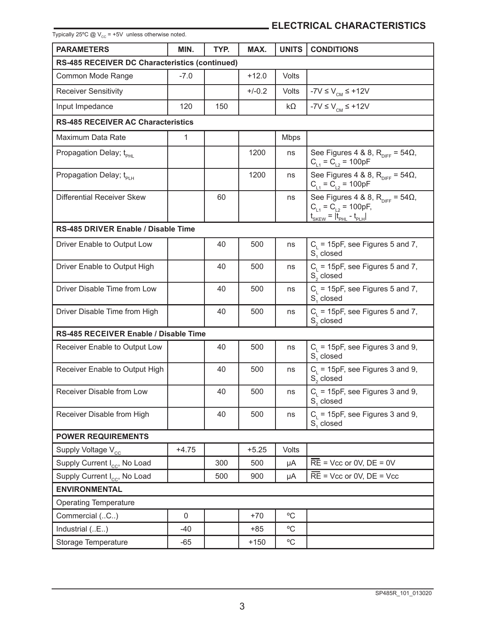| Typically 25°C $@V_{cc} = +5V$ unless otherwise noted. |              |      |          |              |                                                                                                                                           |  |
|--------------------------------------------------------|--------------|------|----------|--------------|-------------------------------------------------------------------------------------------------------------------------------------------|--|
| <b>PARAMETERS</b>                                      | MIN.         | TYP. | MAX.     | <b>UNITS</b> | <b>CONDITIONS</b>                                                                                                                         |  |
| RS-485 RECEIVER DC Characteristics (continued)         |              |      |          |              |                                                                                                                                           |  |
| Common Mode Range                                      | $-7.0$       |      | +12.0    | Volts        |                                                                                                                                           |  |
| <b>Receiver Sensitivity</b>                            |              |      | $+/-0.2$ | <b>Volts</b> | $-7V \le VCM \le +12V$                                                                                                                    |  |
| Input Impedance                                        | 120          | 150  |          | kΩ           | $-7V \le VCM \le +12V$                                                                                                                    |  |
| <b>RS-485 RECEIVER AC Characteristics</b>              |              |      |          |              |                                                                                                                                           |  |
| Maximum Data Rate                                      | $\mathbf{1}$ |      |          | <b>Mbps</b>  |                                                                                                                                           |  |
| Propagation Delay; t <sub>PHI</sub>                    |              |      | 1200     | ns           | See Figures 4 & 8, $R_{\text{DIFF}} = 54\Omega$ ,<br>$C_{L1} = C_{L2} = 100pF$                                                            |  |
| Propagation Delay; t <sub>PLH</sub>                    |              |      | 1200     | ns           | See Figures 4 & 8, $R_{\text{DIFF}} = 54\Omega$ ,<br>$C_{L1} = C_{L2} = 100pF$                                                            |  |
| Differential Receiver Skew                             |              | 60   |          | ns           | See Figures 4 & 8, $R_{\text{DIFF}} = 54\Omega$ ,<br>$C_{L1} = C_{L2} = 100pF$ ,<br>$t_{\text{SKEW}} =  t_{\text{PHL}} - t_{\text{PLH}} $ |  |
| RS-485 DRIVER Enable / Disable Time                    |              |      |          |              |                                                                                                                                           |  |
| Driver Enable to Output Low                            |              | 40   | 500      | ns           | $C_{L}$ = 15pF, see Figures 5 and 7,<br>S, closed                                                                                         |  |
| Driver Enable to Output High                           |              | 40   | 500      | ns           | $C_{L}$ = 15pF, see Figures 5 and 7,<br>S <sub>c</sub> closed                                                                             |  |
| Driver Disable Time from Low                           |              | 40   | 500      | ns           | $C_i$ = 15pF, see Figures 5 and 7,<br>S, closed                                                                                           |  |
| Driver Disable Time from High                          |              | 40   | 500      | ns           | $C_i$ = 15pF, see Figures 5 and 7,<br>S <sub>c</sub> closed                                                                               |  |
| RS-485 RECEIVER Enable / Disable Time                  |              |      |          |              |                                                                                                                                           |  |
| Receiver Enable to Output Low                          |              | 40   | 500      | ns           | $C1$ = 15pF, see Figures 3 and 9,<br>S, closed                                                                                            |  |
| Receiver Enable to Output High                         |              | 40   | 500      | ns           | $C1$ = 15pF, see Figures 3 and 9,<br>S <sub>c</sub> closed                                                                                |  |
| Receiver Disable from Low                              |              | 40   | 500      | ns           | $C_i$ = 15pF, see Figures 3 and 9,<br>S, closed                                                                                           |  |
| Receiver Disable from High                             |              | 40   | 500      | ns           | $C_i$ = 15pF, see Figures 3 and 9,<br>S <sub>1</sub> closed                                                                               |  |
| <b>POWER REQUIREMENTS</b>                              |              |      |          |              |                                                                                                                                           |  |
| Supply Voltage V <sub>cc</sub>                         | $+4.75$      |      | $+5.25$  | <b>Volts</b> |                                                                                                                                           |  |
| Supply Current I <sub>cc</sub> , No Load               |              | 300  | 500      | μA           | $\overline{RE}$ = Vcc or 0V, DE = 0V                                                                                                      |  |
| Supply Current I <sub>cc</sub> , No Load               |              | 500  | 900      | μA           | $\overline{RE}$ = Vcc or 0V, $DE$ = Vcc                                                                                                   |  |
| <b>ENVIRONMENTAL</b>                                   |              |      |          |              |                                                                                                                                           |  |
| <b>Operating Temperature</b>                           |              |      |          |              |                                                                                                                                           |  |
| Commercial (C)                                         | 0            |      | $+70$    | °C           |                                                                                                                                           |  |
| Industrial (E)                                         | -40          |      | $+85$    | $^{\circ}$ C |                                                                                                                                           |  |
| Storage Temperature                                    | $-65$        |      | $+150$   | °C           |                                                                                                                                           |  |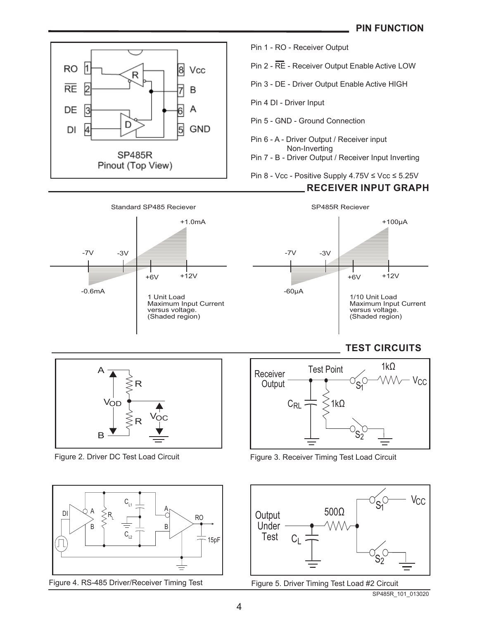

Pin 1 - RO - Receiver Output

Pin 2 - RE - Receiver Output Enable Active LOW

Pin 3 - DE - Driver Output Enable Active HIGH

Pin 4 DI - Driver Input

Pin 5 - GND - Ground Connection

Pin 6 - A - Driver Output / Receiver input Non-Inverting

Pin 7 - B - Driver Output / Receiver Input Inverting

Pin 8 - Vcc - Positive Supply 4.75V ≤ Vcc ≤ 5.25V

### **RECEIVER INPUT GRAPH**



-7V -3V +6V +12V -60µA +100µA 1/10 Unit Load Maximum Input Current versus voltage. (Shaded region) SP485R Reciever

## **TEST CIRCUITS**



Figure 2. Driver DC Test Load Circuit



Figure 4. RS-485 Driver/Receiver Timing Test



Figure 3. Receiver Timing Test Load Circuit



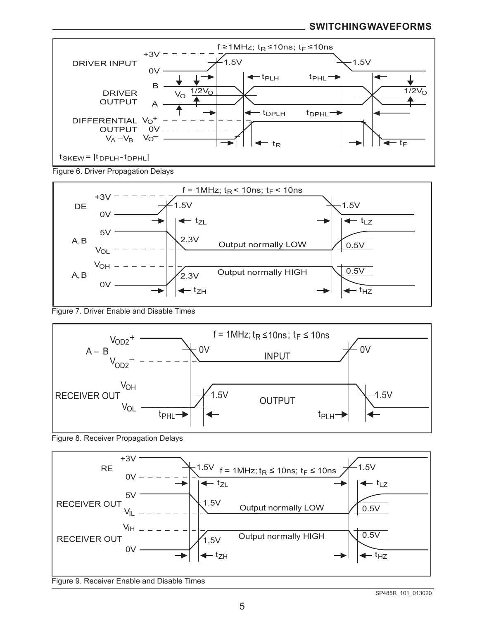#### **SWITCHING WAVEFORMS**



Figure 6. Driver Propagation Delays



#### Figure 7. Driver Enable and Disable Times



Figure 8. Receiver Propagation Delays

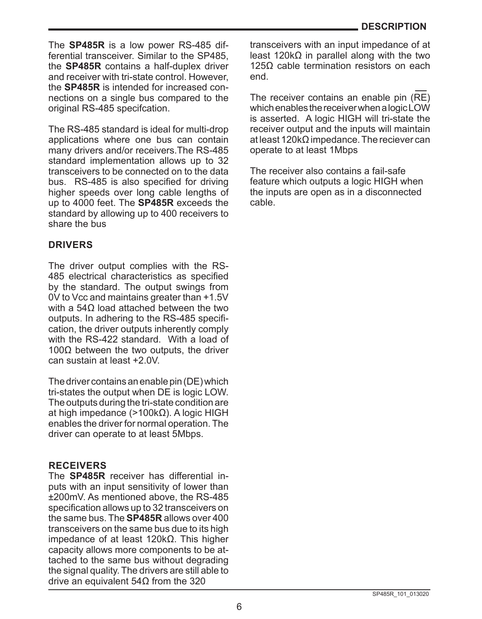The **SP485R** is a low power RS-485 differential transceiver. Similar to the SP485, the **SP485R** contains a half-duplex driver and receiver with tri-state control. However, the **SP485R** is intended for increased connections on a single bus compared to the original RS-485 specifcation.

The RS-485 standard is ideal for multi-drop applications where one bus can contain many drivers and/or receivers.The RS-485 standard implementation allows up to 32 transceivers to be connected on to the data bus. RS-485 is also specified for driving higher speeds over long cable lengths of up to 4000 feet. The **SP485R** exceeds the standard by allowing up to 400 receivers to share the bus

## **DRIVERS**

The driver output complies with the RS-485 electrical characteristics as specified by the standard. The output swings from 0V to Vcc and maintains greater than +1.5V with a 54Ω load attached between the two outputs. In adhering to the RS-485 specification, the driver outputs inherently comply with the RS-422 standard. With a load of  $100Ω$  between the two outputs, the driver can sustain at least +2.0V.

The driver contains an enable pin (DE) which tri-states the output when DE is logic LOW. The outputs during the tri-state condition are at high impedance (>100kΩ). A logic HIGH enables the driver for normal operation. The driver can operate to at least 5Mbps.

## **RECEIVERS**

The **SP485R** receiver has differential inputs with an input sensitivity of lower than ±200mV. As mentioned above, the RS-485 specification allows up to 32 transceivers on the same bus. The **SP485R** allows over 400 transceivers on the same bus due to its high impedance of at least 120kΩ. This higher capacity allows more components to be attached to the same bus without degrading the signal quality. The drivers are still able to drive an equivalent 54Ω from the 320

transceivers with an input impedance of at least 120kΩ in parallel along with the two 125Ω cable termination resistors on each end.

The receiver contains an enable pin (RE) which enables the receiver when a logic LOW is asserted. A logic HIGH will tri-state the receiver output and the inputs will maintain at least 120k $\Omega$  impedance. The reciever can operate to at least 1Mbps

The receiver also contains a fail-safe feature which outputs a logic HIGH when the inputs are open as in a disconnected cable.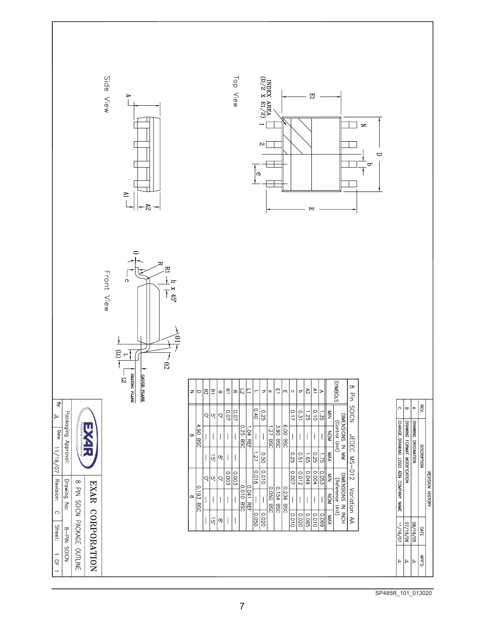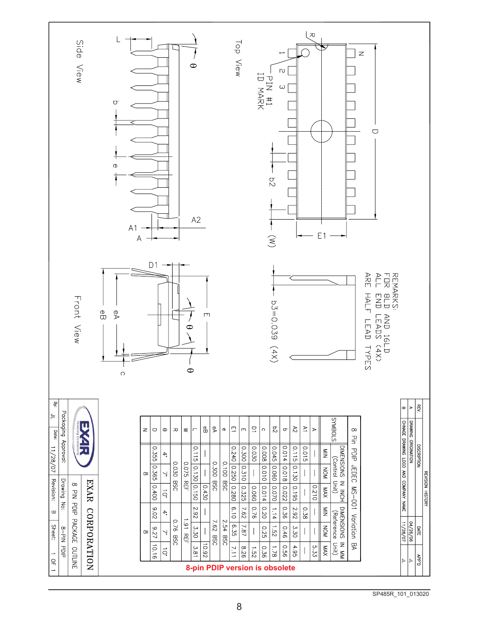